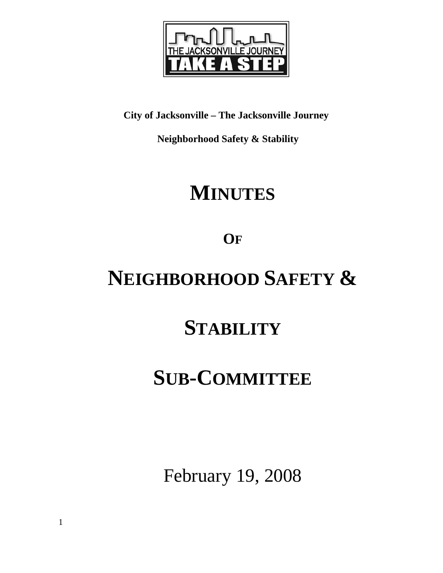

**City of Jacksonville – The Jacksonville Journey** 

 **Neighborhood Safety & Stability** 

# **MINUTES**

**OF**

# **NEIGHBORHOOD SAFETY &**

# **STABILITY**

## **SUB-COMMITTEE**

February 19, 2008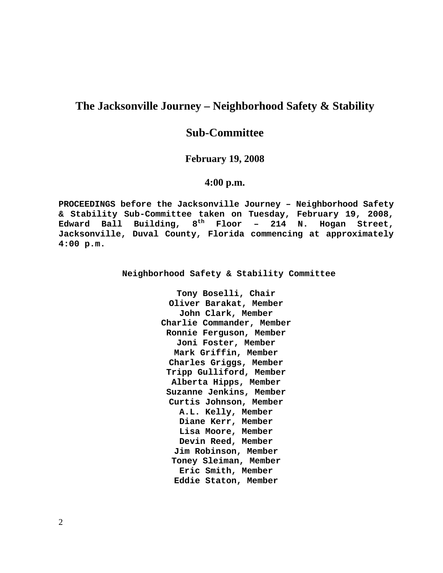## **The Jacksonville Journey – Neighborhood Safety & Stability**

## **Sub-Committee**

## **February 19, 2008**

## **4:00 p.m.**

**PROCEEDINGS before the Jacksonville Journey – Neighborhood Safety & Stability Sub-Committee taken on Tuesday, February 19, 2008, Edward Ball Building, 8th Floor – 214 N. Hogan Street, Jacksonville, Duval County, Florida commencing at approximately 4:00 p.m.** 

**Neighborhood Safety & Stability Committee** 

**Tony Boselli, Chair Oliver Barakat, Member John Clark, Member Charlie Commander, Member Ronnie Ferguson, Member Joni Foster, Member Mark Griffin, Member Charles Griggs, Member Tripp Gulliford, Member Alberta Hipps, Member Suzanne Jenkins, Member Curtis Johnson, Member A.L. Kelly, Member Diane Kerr, Member Lisa Moore, Member Devin Reed, Member Jim Robinson, Member Toney Sleiman, Member Eric Smith, Member Eddie Staton, Member**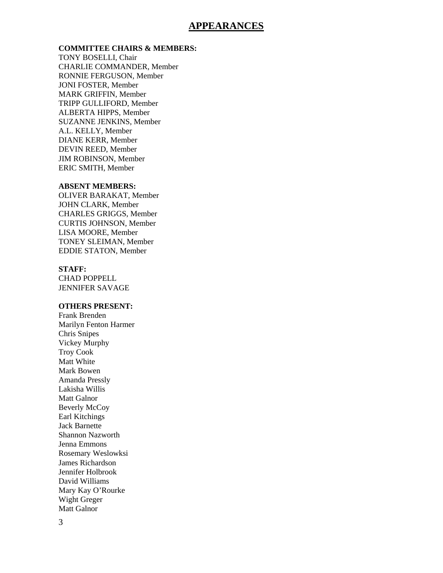## **APPEARANCES**

### **COMMITTEE CHAIRS & MEMBERS:**

TONY BOSELLI, Chair CHARLIE COMMANDER, Member RONNIE FERGUSON, Member JONI FOSTER, Member MARK GRIFFIN, Member TRIPP GULLIFORD, Member ALBERTA HIPPS, Member SUZANNE JENKINS, Member A.L. KELLY, Member DIANE KERR, Member DEVIN REED, Member JIM ROBINSON, Member ERIC SMITH, Member

#### **ABSENT MEMBERS:**

OLIVER BARAKAT, Member JOHN CLARK, Member CHARLES GRIGGS, Member CURTIS JOHNSON, Member LISA MOORE, Member TONEY SLEIMAN, Member EDDIE STATON, Member

#### **STAFF:**

CHAD POPPELL JENNIFER SAVAGE

### **OTHERS PRESENT:**

Frank Brenden Marilyn Fenton Harmer Chris Snipes Vickey Murphy Troy Cook Matt White Mark Bowen Amanda Pressly Lakisha Willis Matt Galnor Beverly McCoy Earl Kitchings Jack Barnette Shannon Nazworth Jenna Emmons Rosemary Weslowksi James Richardson Jennifer Holbrook David Williams Mary Kay O'Rourke Wight Greger Matt Galnor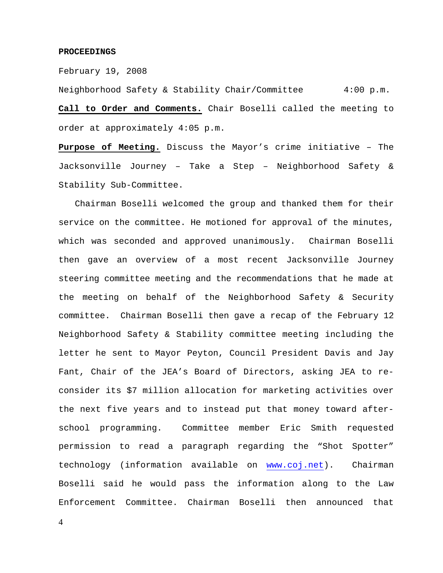#### **PROCEEDINGS**

February 19, 2008

Neighborhood Safety & Stability Chair/Committee 4:00 p.m. **Call to Order and Comments.** Chair Boselli called the meeting to order at approximately 4:05 p.m.

**Purpose of Meeting.** Discuss the Mayor's crime initiative – The Jacksonville Journey – Take a Step – Neighborhood Safety & Stability Sub-Committee.

 Chairman Boselli welcomed the group and thanked them for their service on the committee. He motioned for approval of the minutes, which was seconded and approved unanimously. Chairman Boselli then gave an overview of a most recent Jacksonville Journey steering committee meeting and the recommendations that he made at the meeting on behalf of the Neighborhood Safety & Security committee. Chairman Boselli then gave a recap of the February 12 Neighborhood Safety & Stability committee meeting including the letter he sent to Mayor Peyton, Council President Davis and Jay Fant, Chair of the JEA's Board of Directors, asking JEA to reconsider its \$7 million allocation for marketing activities over the next five years and to instead put that money toward afterschool programming. Committee member Eric Smith requested permission to read a paragraph regarding the "Shot Spotter" technology (information available on www.coj.net). Chairman Boselli said he would pass the information along to the Law Enforcement Committee. Chairman Boselli then announced that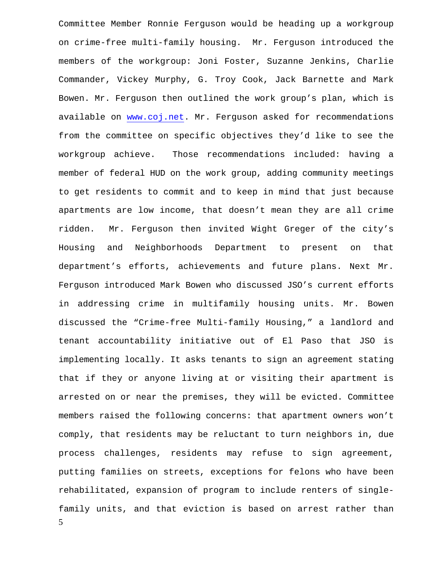5 Committee Member Ronnie Ferguson would be heading up a workgroup on crime-free multi-family housing. Mr. Ferguson introduced the members of the workgroup: Joni Foster, Suzanne Jenkins, Charlie Commander, Vickey Murphy, G. Troy Cook, Jack Barnette and Mark Bowen. Mr. Ferguson then outlined the work group's plan, which is available on www.coj.net. Mr. Ferguson asked for recommendations from the committee on specific objectives they'd like to see the workgroup achieve. Those recommendations included: having a member of federal HUD on the work group, adding community meetings to get residents to commit and to keep in mind that just because apartments are low income, that doesn't mean they are all crime ridden. Mr. Ferguson then invited Wight Greger of the city's Housing and Neighborhoods Department to present on that department's efforts, achievements and future plans. Next Mr. Ferguson introduced Mark Bowen who discussed JSO's current efforts in addressing crime in multifamily housing units. Mr. Bowen discussed the "Crime-free Multi-family Housing," a landlord and tenant accountability initiative out of El Paso that JSO is implementing locally. It asks tenants to sign an agreement stating that if they or anyone living at or visiting their apartment is arrested on or near the premises, they will be evicted. Committee members raised the following concerns: that apartment owners won't comply, that residents may be reluctant to turn neighbors in, due process challenges, residents may refuse to sign agreement, putting families on streets, exceptions for felons who have been rehabilitated, expansion of program to include renters of singlefamily units, and that eviction is based on arrest rather than